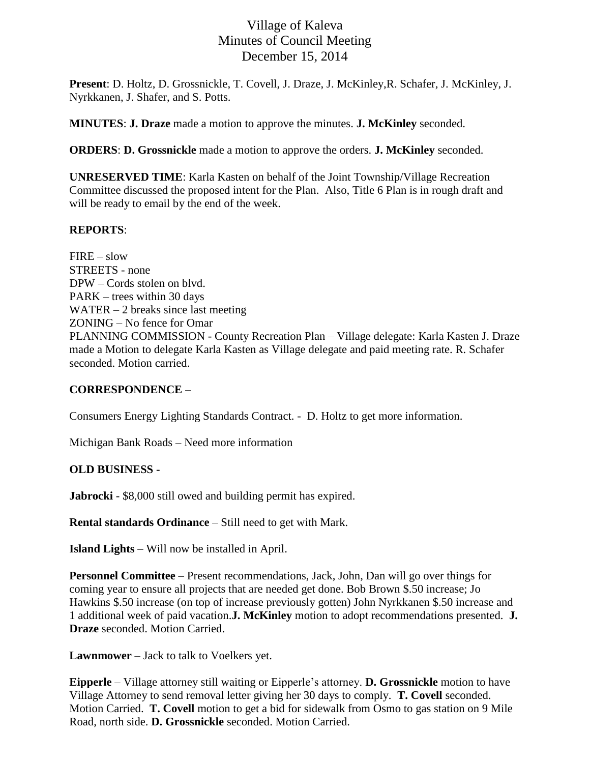# Village of Kaleva Minutes of Council Meeting December 15, 2014

**Present**: D. Holtz, D. Grossnickle, T. Covell, J. Draze, J. McKinley,R. Schafer, J. McKinley, J. Nyrkkanen, J. Shafer, and S. Potts.

**MINUTES**: **J. Draze** made a motion to approve the minutes. **J. McKinley** seconded.

**ORDERS**: **D. Grossnickle** made a motion to approve the orders. **J. McKinley** seconded.

**UNRESERVED TIME**: Karla Kasten on behalf of the Joint Township/Village Recreation Committee discussed the proposed intent for the Plan. Also, Title 6 Plan is in rough draft and will be ready to email by the end of the week.

#### **REPORTS**:

 $FIRE - slow$ STREETS - none DPW – Cords stolen on blvd. PARK – trees within 30 days WATER  $-2$  breaks since last meeting ZONING – No fence for Omar PLANNING COMMISSION - County Recreation Plan – Village delegate: Karla Kasten J. Draze made a Motion to delegate Karla Kasten as Village delegate and paid meeting rate. R. Schafer seconded. Motion carried.

## **CORRESPONDENCE** –

Consumers Energy Lighting Standards Contract. - D. Holtz to get more information.

Michigan Bank Roads – Need more information

## **OLD BUSINESS -**

**Jabrocki** - \$8,000 still owed and building permit has expired.

**Rental standards Ordinance** – Still need to get with Mark.

**Island Lights** – Will now be installed in April.

**Personnel Committee** – Present recommendations, Jack, John, Dan will go over things for coming year to ensure all projects that are needed get done. Bob Brown \$.50 increase; Jo Hawkins \$.50 increase (on top of increase previously gotten) John Nyrkkanen \$.50 increase and 1 additional week of paid vacation.**J. McKinley** motion to adopt recommendations presented. **J. Draze** seconded. Motion Carried.

**Lawnmower** – Jack to talk to Voelkers yet.

**Eipperle** – Village attorney still waiting or Eipperle's attorney. **D. Grossnickle** motion to have Village Attorney to send removal letter giving her 30 days to comply. **T. Covell** seconded. Motion Carried. **T. Covell** motion to get a bid for sidewalk from Osmo to gas station on 9 Mile Road, north side. **D. Grossnickle** seconded. Motion Carried.